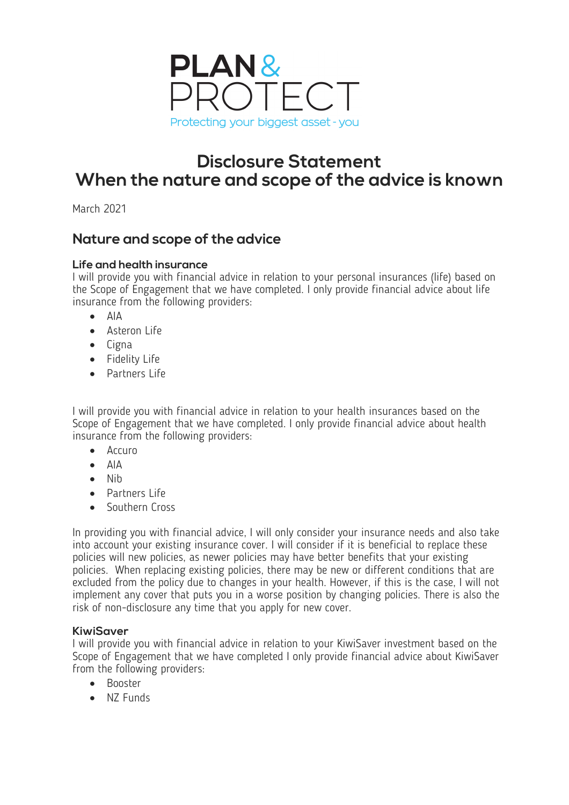

# **Disclosure Statement When the nature and scope of the advice is known**

March 2021

## **Nature and scope of the advice**

#### **Life and health insurance**

I will provide you with financial advice in relation to your personal insurances (life) based on the Scope of Engagement that we have completed. I only provide financial advice about life insurance from the following providers:

- AIA
- Asteron Life
- Cigna
- Fidelity Life
- Partners Life

I will provide you with financial advice in relation to your health insurances based on the Scope of Engagement that we have completed. I only provide financial advice about health insurance from the following providers:

- Accuro
- AIA
- Nib
- Partners Life
- Southern Cross

In providing you with financial advice, I will only consider your insurance needs and also take into account your existing insurance cover. I will consider if it is beneficial to replace these policies will new policies, as newer policies may have better benefits that your existing policies. When replacing existing policies, there may be new or different conditions that are excluded from the policy due to changes in your health. However, if this is the case, I will not implement any cover that puts you in a worse position by changing policies. There is also the risk of non-disclosure any time that you apply for new cover.

#### **KiwiSaver**

I will provide you with financial advice in relation to your KiwiSaver investment based on the Scope of Engagement that we have completed I only provide financial advice about KiwiSaver from the following providers:

- Booster
- NZ Funds